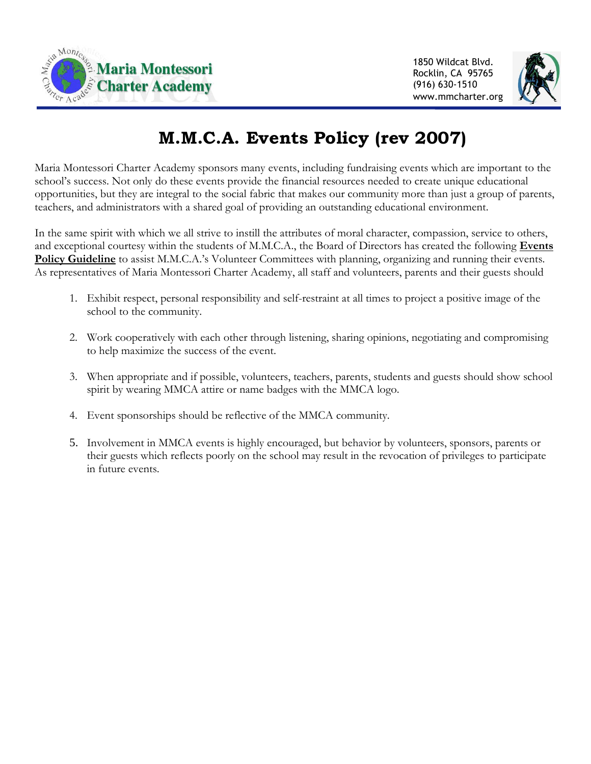

1850 Wildcat Blvd. Rocklin, CA 95765 (916) 630-1510 www.mmcharter.org



## **M.M.C.A. Events Policy (rev 2007)**

Maria Montessori Charter Academy sponsors many events, including fundraising events which are important to the school's success. Not only do these events provide the financial resources needed to create unique educational opportunities, but they are integral to the social fabric that makes our community more than just a group of parents, teachers, and administrators with a shared goal of providing an outstanding educational environment.

In the same spirit with which we all strive to instill the attributes of moral character, compassion, service to others, and exceptional courtesy within the students of M.M.C.A., the Board of Directors has created the following **Events Policy Guideline** to assist M.M.C.A.'s Volunteer Committees with planning, organizing and running their events. As representatives of Maria Montessori Charter Academy, all staff and volunteers, parents and their guests should

- 1. Exhibit respect, personal responsibility and self-restraint at all times to project a positive image of the school to the community.
- 2. Work cooperatively with each other through listening, sharing opinions, negotiating and compromising to help maximize the success of the event.
- 3. When appropriate and if possible, volunteers, teachers, parents, students and guests should show school spirit by wearing MMCA attire or name badges with the MMCA logo.
- 4. Event sponsorships should be reflective of the MMCA community.
- 5. Involvement in MMCA events is highly encouraged, but behavior by volunteers, sponsors, parents or their guests which reflects poorly on the school may result in the revocation of privileges to participate in future events.